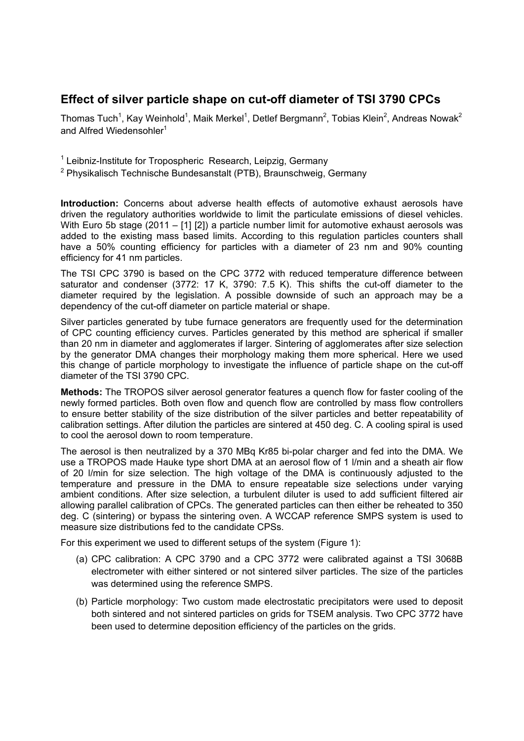# **Effect of silver particle shape on cut-off diameter of TSI 3790 CPCs**

Thomas Tuch<sup>1</sup>, Kay Weinhold<sup>1</sup>, Maik Merkel<sup>1</sup>, Detlef Bergmann<sup>2</sup>, Tobias Klein<sup>2</sup>, Andreas Nowak<sup>2</sup> and Alfred Wiedensohler<sup>1</sup>

<sup>1</sup> Leibniz-Institute for Tropospheric Research, Leipzig, Germany

<sup>2</sup> Physikalisch Technische Bundesanstalt (PTB), Braunschweig, Germany

**Introduction:** Concerns about adverse health effects of automotive exhaust aerosols have driven the regulatory authorities worldwide to limit the particulate emissions of diesel vehicles. With Euro 5b stage (2011 – [1] [2]) a particle number limit for automotive exhaust aerosols was added to the existing mass based limits. According to this regulation particles counters shall have a 50% counting efficiency for particles with a diameter of 23 nm and 90% counting efficiency for 41 nm particles.

The TSI CPC 3790 is based on the CPC 3772 with reduced temperature difference between saturator and condenser (3772: 17 K, 3790: 7.5 K). This shifts the cut-off diameter to the diameter required by the legislation. A possible downside of such an approach may be a dependency of the cut-off diameter on particle material or shape.

Silver particles generated by tube furnace generators are frequently used for the determination of CPC counting efficiency curves. Particles generated by this method are spherical if smaller than 20 nm in diameter and agglomerates if larger. Sintering of agglomerates after size selection by the generator DMA changes their morphology making them more spherical. Here we used this change of particle morphology to investigate the influence of particle shape on the cut-off diameter of the TSI 3790 CPC.

**Methods:** The TROPOS silver aerosol generator features a quench flow for faster cooling of the newly formed particles. Both oven flow and quench flow are controlled by mass flow controllers to ensure better stability of the size distribution of the silver particles and better repeatability of calibration settings. After dilution the particles are sintered at 450 deg. C. A cooling spiral is used to cool the aerosol down to room temperature.

The aerosol is then neutralized by a 370 MBq Kr85 bi-polar charger and fed into the DMA. We use a TROPOS made Hauke type short DMA at an aerosol flow of 1 l/min and a sheath air flow of 20 l/min for size selection. The high voltage of the DMA is continuously adjusted to the temperature and pressure in the DMA to ensure repeatable size selections under varying ambient conditions. After size selection, a turbulent diluter is used to add sufficient filtered air allowing parallel calibration of CPCs. The generated particles can then either be reheated to 350 deg. C (sintering) or bypass the sintering oven. A WCCAP reference SMPS system is used to measure size distributions fed to the candidate CPSs.

For this experiment we used to different setups of the system (Figure 1):

- (a) CPC calibration: A CPC 3790 and a CPC 3772 were calibrated against a TSI 3068B electrometer with either sintered or not sintered silver particles. The size of the particles was determined using the reference SMPS.
- (b) Particle morphology: Two custom made electrostatic precipitators were used to deposit both sintered and not sintered particles on grids for TSEM analysis. Two CPC 3772 have been used to determine deposition efficiency of the particles on the grids.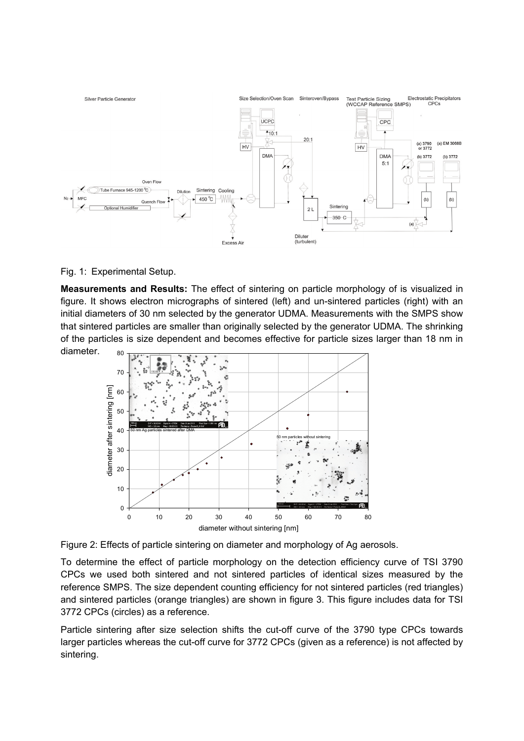

### Fig. 1: Experimental Setup.

80 **Measurements and Results:** The effect of sintering on particle morphology of is visualized in figure. It shows electron micrographs of sintered (left) and un-sintered particles (right) with an initial diameters of 30 nm selected by the generator UDMA. Measurements with the SMPS show that sintered particles are smaller than originally selected by the generator UDMA. The shrinking of the particles is size dependent and becomes effective for particle sizes larger than 18 nm in diameter.



Figure 2: Effects of particle sintering on diameter and morphology of Ag aerosols.

To determine the effect of particle morphology on the detection efficiency curve of TSI 3790 CPCs we used both sintered and not sintered particles of identical sizes measured by the reference SMPS. The size dependent counting efficiency for not sintered particles (red triangles) and sintered particles (orange triangles) are shown in figure 3. This figure includes data for TSI 3772 CPCs (circles) as a reference.

Particle sintering after size selection shifts the cut-off curve of the 3790 type CPCs towards larger particles whereas the cut-off curve for 3772 CPCs (given as a reference) is not affected by sintering.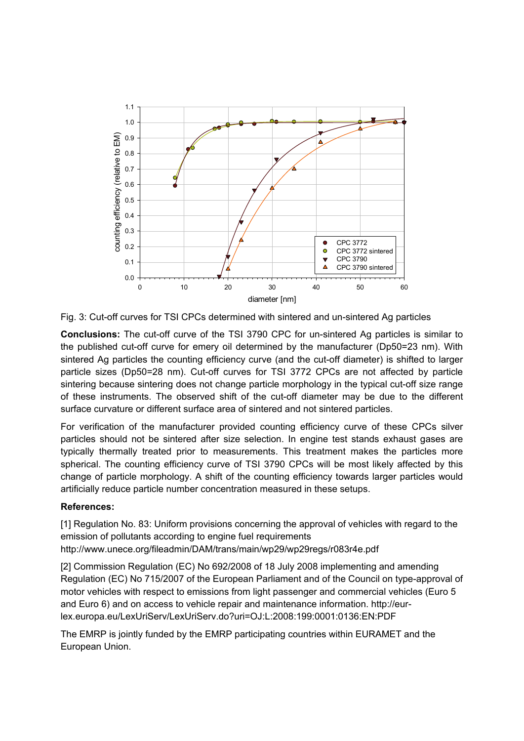

Fig. 3: Cut-off curves for TSI CPCs determined with sintered and un-sintered Ag particles

**Conclusions:** The cut-off curve of the TSI 3790 CPC for un-sintered Ag particles is similar to the published cut-off curve for emery oil determined by the manufacturer (Dp50=23 nm). With sintered Ag particles the counting efficiency curve (and the cut-off diameter) is shifted to larger particle sizes (Dp50=28 nm). Cut-off curves for TSI 3772 CPCs are not affected by particle sintering because sintering does not change particle morphology in the typical cut-off size range of these instruments. The observed shift of the cut-off diameter may be due to the different surface curvature or different surface area of sintered and not sintered particles.

For verification of the manufacturer provided counting efficiency curve of these CPCs silver particles should not be sintered after size selection. In engine test stands exhaust gases are typically thermally treated prior to measurements. This treatment makes the particles more spherical. The counting efficiency curve of TSI 3790 CPCs will be most likely affected by this change of particle morphology. A shift of the counting efficiency towards larger particles would artificially reduce particle number concentration measured in these setups.

## **References:**

[1] Regulation No. 83: Uniform provisions concerning the approval of vehicles with regard to the emission of pollutants according to engine fuel requirements http://www.unece.org/fileadmin/DAM/trans/main/wp29/wp29regs/r083r4e.pdf

[2] Commission Regulation (EC) No 692/2008 of 18 July 2008 implementing and amending Regulation (EC) No 715/2007 of the European Parliament and of the Council on type-approval of motor vehicles with respect to emissions from light passenger and commercial vehicles (Euro 5 and Euro 6) and on access to vehicle repair and maintenance information. http://eurlex.europa.eu/LexUriServ/LexUriServ.do?uri=OJ:L:2008:199:0001:0136:EN:PDF

The EMRP is jointly funded by the EMRP participating countries within EURAMET and the European Union.